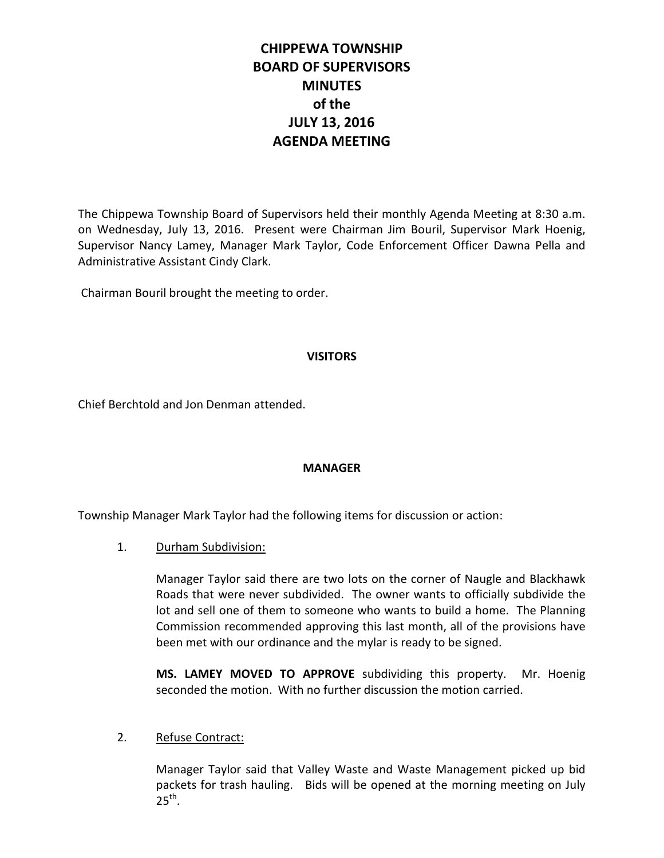# **CHIPPEWA TOWNSHIP BOARD OF SUPERVISORS MINUTES of the JULY 13, 2016 AGENDA MEETING**

The Chippewa Township Board of Supervisors held their monthly Agenda Meeting at 8:30 a.m. on Wednesday, July 13, 2016. Present were Chairman Jim Bouril, Supervisor Mark Hoenig, Supervisor Nancy Lamey, Manager Mark Taylor, Code Enforcement Officer Dawna Pella and Administrative Assistant Cindy Clark.

Chairman Bouril brought the meeting to order.

# **VISITORS**

Chief Berchtold and Jon Denman attended.

# **MANAGER**

Township Manager Mark Taylor had the following items for discussion or action:

1. Durham Subdivision:

Manager Taylor said there are two lots on the corner of Naugle and Blackhawk Roads that were never subdivided. The owner wants to officially subdivide the lot and sell one of them to someone who wants to build a home. The Planning Commission recommended approving this last month, all of the provisions have been met with our ordinance and the mylar is ready to be signed.

**MS. LAMEY MOVED TO APPROVE** subdividing this property. Mr. Hoenig seconded the motion. With no further discussion the motion carried.

# 2. Refuse Contract:

Manager Taylor said that Valley Waste and Waste Management picked up bid packets for trash hauling. Bids will be opened at the morning meeting on July  $25^{th}$ .